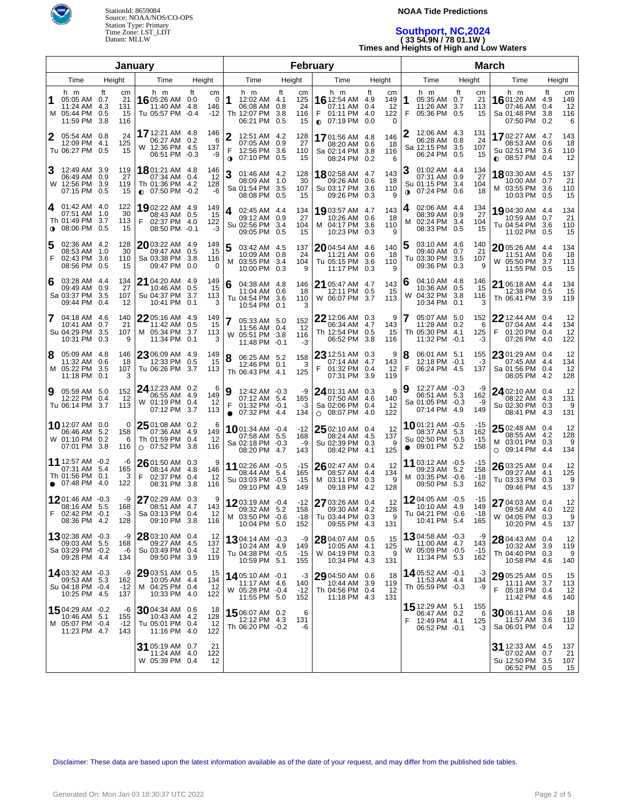

### **NOAA Tide Predictions**

# **Southport, NC,2024 ( 33 54.9N / 78 01.1W ) Times and Heights of High and Low Waters**

| January          |                                                                               |           |                              |                                                                     |                                                              | <b>February</b>                                                                           |                                                         |                                                                        |                                                                      | <b>March</b>                                                                     |                                    |                                                                               |                                                               |  |
|------------------|-------------------------------------------------------------------------------|-----------|------------------------------|---------------------------------------------------------------------|--------------------------------------------------------------|-------------------------------------------------------------------------------------------|---------------------------------------------------------|------------------------------------------------------------------------|----------------------------------------------------------------------|----------------------------------------------------------------------------------|------------------------------------|-------------------------------------------------------------------------------|---------------------------------------------------------------|--|
| Time<br>Height   |                                                                               |           |                              | Time<br>Height                                                      |                                                              | Time<br>Height                                                                            |                                                         | Time                                                                   | Height                                                               | Time                                                                             | Height                             | Time                                                                          | Height                                                        |  |
| 1                | h m<br>05:05 AM 0.7<br>11:24 AM 4.3<br>M 05:44 PM 0.5<br>11:59 PM             | ft<br>3.8 | cm<br>21<br>131<br>15<br>116 | h m<br>16 05:26 AM<br>11:40 AM<br>Tu 05:57 PM                       | ft<br>cm<br>0.0<br>$\Omega$<br>146<br>4.8<br>$-0.4$<br>$-12$ | h m<br>1<br>12:02 AM 4.1<br>06:08 AM<br>Th 12:07 PM<br>06:21 PM                           | ft<br>cm<br>125<br>24<br>0.8<br>3.8<br>116<br>0.5<br>15 | h m<br><b>16</b> 12:54 AM<br>07:11 AM<br>F<br>01:11 PM<br>$O$ 07:19 PM | ft<br>сm<br>4.9<br>149<br>12<br>0.4<br>4.0<br>122<br>0.0<br>$\Omega$ | h m<br>1<br>05:35 AM 0.7<br>11:26 AM<br>F<br>05:36 PM 0.5                        | ft<br>cm<br>21<br>3.7<br>113<br>15 | h m<br>1601:26 AM<br>07:46 AM<br>Sa 01:48 PM<br>07:50 PM                      | ft<br>cm<br>4.9<br>149<br>12<br>0.4<br>116<br>3.8<br>0.2<br>6 |  |
| 2                | 05:54 AM 0.8<br>12:09 PM 4.1<br>Tu 06:27 PM 0.5                               |           | 24<br>125<br>15              | 17 12:21 AM 4.8<br>06:27 AM 0.2<br>W 12:36 PM 4.5<br>06:51 PM -0.3  | 146<br>6<br>137<br>-9                                        | 2<br>12:51 AM 4.2<br>07:05 AM 0.9<br>F<br>12:56 PM 3.6<br>07:10 PM 0.5<br>$\mathbf 0$     | 128<br>27<br>110<br>15                                  | 17 01:56 AM 4.8<br>08:20 AM 0.6<br>Sa 02:14 PM<br>08:24 PM             | 146<br>18<br>3.8<br>116<br>0.2<br>6                                  | 12:06 AM 4.3<br>06:28 AM 0.8<br>Sa 12:15 PM 3.5<br>06:24 PM 0.5                  | 131<br>24<br>107<br>15             | 1702:27 AM 4.7<br>08:53 AM<br>Su 02:51 PM 3.6<br>$\bullet$ 08:57 PM 0.4       | 143<br>0.6<br>18<br>110<br>12                                 |  |
|                  | 12:49 AM 3.9<br>06:49 AM 0.9<br>W 12:56 PM 3.9<br>07:15 PM 0.5                |           | 119<br>27<br>119<br>15       | 1801:21 AM 4.8<br>07:34 AM<br>Th 01:36 PM 4.2<br>$\bullet$ 07:50 PM | 146<br>12<br>0.4<br>128<br>$-0.2$<br>-6                      | 3<br>01:46 AM 4.2<br>08:09 AM 1.0<br>Sa 01:54 PM 3.5<br>08:08 PM 0.5                      | 128<br>30<br>107<br>15                                  | <b>18</b> 02:58 AM 4.7<br>09:26 AM 0.6<br>Su 03:17 PM<br>09:26 PM 0.3  | 143<br>18<br>3.6<br>110<br>9                                         | 01:02 AM 4.4<br>07:31 AM 0.9<br>Su 01:15 PM 3.4<br>$\bullet$ 07:24 PM 0.6        | 134<br>27<br>104<br>18             | 1803:30 AM 4.5<br>10:00 AM 0.7<br>M 03:55 PM<br>10:03 PM 0.5                  | 137<br>21<br>3.6<br>110<br>15                                 |  |
| 4<br>$\mathbf o$ | 01:42 AM 4.0<br>07:51 AM 1.0<br>Th 01:49 PM 3.7<br>08:06 PM 0.5               |           | 122<br>30<br>113<br>15       | 1902:22 AM 4.9<br>08:43 AM 0.5<br>F<br>02:37 PM 4.0<br>08:50 PM     | 149<br>15<br>122<br>-3<br>$-0.1$                             | 4<br>02:45 AM 4.4<br>09:12 AM 0.9<br>Su 02:56 PM 3.4<br>09:05 PM 0.5                      | 134<br>27<br>104<br>15                                  | 19 03:57 AM 4.7<br>10:26 AM 0.6<br>M 04:17 PM<br>10:23 PM 0.3          | 143<br>18<br>3.6<br>110<br>9                                         | 02:06 AM 4.4<br>08:39 AM 0.9<br>02:24 PM<br>м<br>08:33 PM 0.5                    | 134<br>27<br>3.4<br>104<br>15      | 1904:30 AM 4.4<br>10:59 AM 0.7<br>Tu 04:54 PM<br>11:02 PM                     | 134<br>21<br>3.6<br>110<br>15<br>0.5                          |  |
| 5<br>F           | 02:36 AM 4.2<br>08:53 AM 1.0<br>02:43 PM 3.6<br>08:56 PM 0.5                  |           | 128<br>30<br>110<br>15       | $20$ 03:22 AM 4.9<br>09:47 AM<br>Sa 03:38 PM<br>09:47 PM            | 149<br>15<br>0.5<br>3.8<br>116<br>0.0<br>0                   | 5<br>03:42 AM 4.5<br>10:09 AM 0.8<br>M 03:55 PM 3.4<br>10:00 PM 0.3                       | 137<br>24<br>104<br>9                                   | 2004:54 AM 4.6<br>11:21 AM 0.6<br>Tu 05:15 PM<br>11:17 PM              | 140<br>18<br>3.6<br>110<br>0.3<br>9                                  | 03:10 AM 4.6<br>09:40 AM 0.7<br>Tu 03:30 PM 3.5<br>09:36 PM 0.3                  | 140<br>21<br>107<br>9              | 2005:26 AM 4.4<br>11:51 AM<br>W 05:50 PM<br>11:55 PM 0.5                      | 134<br>18<br>0.6<br>3.7<br>113<br>15                          |  |
| 6                | 03:28 AM 4.4<br>09:49 AM 0.9<br>Sa 03:37 PM 3.5<br>09:44 PM 0.4               |           | 134<br>27<br>107<br>12       | 21 04:20 AM 4.9<br>10:46 AM<br>Su 04:37 PM<br>10:41 PM              | 149<br>0.5<br>15<br>3.7<br>113<br>0.1<br>3                   | 6<br>04:38 AM 4.8<br>11:04 AM 0.6<br>Tu 04:54 PM<br>10:54 PM                              | 146<br>18<br>3.6<br>110<br>0.1<br>3                     | 21 05:47 AM 4.7<br>12:11 PM 0.5<br>W 06:07 PM                          | 143<br>15<br>3.7<br>113                                              | 04:10 AM 4.8<br>10:36 AM 0.5<br>04:32 PM 3.8<br>W<br>10:34 PM 0.1                | 146<br>15<br>116                   | 21 06:18 AM 4.4<br>12:38 PM 0.5<br>Th 06:41 PM                                | 134<br>15<br>3.9<br>119                                       |  |
|                  | 04:18 AM 4.6<br>10:41 AM 0.7<br>Su 04:29 PM 3.5<br>10:31 PM 0.3               |           | 140<br>21<br>107<br>9        | 2205:16 AM 4.9<br>11:42 AM<br>M 05:34 PM<br>11:34 PM                | 149<br>0.5<br>15<br>3.7<br>113<br>0.1<br>3                   | 05:33 AM 5.0<br>11:56 AM 0.4<br>W 05:51 PM 3.8<br>11:48 PM -0.1                           | 152<br>12<br>116<br>-3                                  | $22$ 12:06 AM 0.3<br>06:34 AM<br>Th 12:54 PM<br>06:52 PM               | 9<br>4.7<br>143<br>0.5<br>15<br>116<br>3.8                           | 05:07 AM 5.0<br>11:28 AM 0.2<br>Th 05:30 PM 4.1<br>11:32 PM -0.1                 | 152<br>6<br>125<br>-3              | $22$ 12:44 AM 0.4<br>07:04 AM 4.4<br>F<br>01:20 PM 0.4<br>07:26 PM 4.0        | 12<br>134<br>12<br>122                                        |  |
| 8                | 05:09 AM 4.8<br>11:32 AM 0.6<br>M 05:22 PM 3.5<br>11:18 PM 0.1                |           | 146<br>18<br>107<br>3        | $23$ 06:09 AM 4.9<br>12:33 PM<br>Tu 06:26 PM 3.7                    | 149<br>15<br>0.5<br>113                                      | 8<br>06:25 AM 5.2<br>12:46 PM 0.1<br>Th 06:43 PM 4.1                                      | 158<br>3<br>125                                         | $23$ 12:51 AM<br>07:14 AM<br>F<br>01:32 PM<br>07:31 PM 3.9             | 9<br>0.3<br>4.7<br>143<br>12<br>0.4<br>119                           | 8<br>06:01 AM 5.1<br>12:18 PM -0.1<br>F<br>06:24 PM 4.5                          | 155<br>-3<br>137                   | 23 01:29 AM 0.4<br>07:45 AM 4.4<br>Sa 01:56 PM 0.4<br>08:05 PM 4.2            | 12<br>134<br>12<br>128                                        |  |
| 9                | 05:59 AM 5.0<br>12:22 PM 0.4<br>Tu 06:14 PM 3.7                               |           | 152<br>-12<br>113            | 24 12:23 AM 0.2<br>06:55 AM 4.9<br>W 01:19 PM<br>07:12 PM           | 6<br>149<br>0.4<br>12<br>3.7<br>113                          | 9<br>12:42 AM -0.3<br>07:12 AM 5.4<br>F<br>$01:32$ PM $-0.1$<br>07:32 PM 4.4<br>$\bullet$ | -9<br>165<br>-3<br>134                                  | 24 01:31 AM 0.3<br>07:50 AM 4.6<br>Sa 02:06 PM 0.4<br>$O$ 08:07 PM 4.0 | 9<br>140<br>12<br>122                                                | 12:27 AM -0.3<br>9<br>06:51 AM 5.3<br>Sa 01:05 PM -0.3<br>07:14 PM 4.9           | -9<br>162<br>-9<br>149             | 24 02:10 AM 0.4<br>08:22 AM 4.3<br>Su 02:30 PM 0.3<br>08:41 PM 4.3            | 12<br>131<br>9<br>131                                         |  |
|                  | 10 12:07 AM 0.0<br>06:46 AM 5.2<br>W 01:10 PM 0.2<br>07:01 PM 3.8             |           | 0<br>158<br>6<br>116         | 25 01:08 AM 0.2<br>07:36 AM<br>Th 01:59 PM<br>$O$ 07:52 PM          | 6<br>149<br>4.9<br>0.4<br>-12<br>3.8<br>116                  | 1001:34 AM -0.4<br>07:58 AM 5.5<br>Sa 02:18 PM -0.3<br>08:20 PM 4.7                       | $-12$<br>168<br>-9<br>143                               | 25 02:10 AM 0.4<br>08:24 AM 4.5<br>Su 02:39 PM 0.3<br>08:42 PM 4.1     | 12<br>137<br>9<br>125                                                | 1001:21 AM -0.5<br>08:37 AM 5.3<br>Su 02:50 PM -0.5<br>09:01 PM 5.2<br>$\bullet$ | -15<br>162<br>$-15$<br>158         | $2502:48$ AM 0.4<br>08:55 AM 4.2<br>M 03:01 PM 0.3<br>09:14 PM 4.4<br>$\circ$ | 12<br>128<br>9<br>134                                         |  |
|                  | 11 12:57 AM -0.2<br>07:31 AM 5.4<br>Th 01:56 PM 0.1<br>$\bullet$ 07:48 PM 4.0 |           | -6<br>165<br>3<br>122        | $2601:50$ AM 0.3<br>08:14 AM 4.8<br>F<br>02:37 PM<br>08:31 PM       | 9<br>146<br>12<br>0.4<br>-3.8<br>116                         | 11 02:26 AM -0.5<br>08:44 AM 5.4<br>Su 03:03 PM -0.5<br>09:10 PM 4.9                      | $-15$<br>165<br>$-15$<br>149                            | 26 02:47 AM 0.4<br>08:57 AM 4.4<br>M 03:11 PM 0.3<br>09:18 PM 4.2      | 12<br>134<br>9<br>128                                                | 11 03:12 AM -0.5<br>09:23 AM 5.2<br>M 03:35 PM -0.6<br>09:50 PM 5.3              | -15<br>158<br>-18<br>162           | 26 03:25 AM 0.4<br>09:27 AM 4.1<br>Tu 03:33 PM 0.3<br>09:46 PM 4.5            | 12<br>125<br>9<br>137                                         |  |
|                  | 1201:46 AM -0.3<br>08:16 AM 5.5<br>02:42 PM -0.1<br>08:36 PM 4.2              |           | -9<br>168<br>-3<br>128       | 27 02:29 AM<br>08:51 AM<br>Sa 03:13 PM 0.4<br>09:10 PM 3.8          | 0.3<br>9<br>4.7<br>143<br>12<br>116                          | 1203:19 AM -0.4<br>M 03:50 PM -0.6<br>10:04 PM 5.0                                        | $-12$<br>09:32 AM 5.2 158<br>-18<br>152                 | 27 03:26 AM 0.4<br>09:30 AM 4.2<br>Tu 03:44 PM 0.3<br>09:55 PM 4.3     | 12<br>128<br>9<br>131                                                | 1204:05 AM -0.5<br>10:10 AM 4.9<br>$1u$ 04:21 PM $-0.6$<br>10:41 PM 5.4          | -15<br>149<br>-18<br>165           | 27 04:03 AM 0.4<br>09:58 AM 4.0<br>W 04:05 PM 0.3<br>10:20 PM 4.5             | 12<br>122<br>9<br>137                                         |  |
|                  | 1302:38 AM -0.3<br>09:03 AM 5.5<br>Sa 03:29 PM -0.2<br>09:28 PM 4.4           |           | -9<br>168<br>-6<br>134       | 28 03:10 AM 0.4<br>09:27 AM 4.5<br>Su 03:49 PM 0.4<br>09:50 PM 3.9  | 12<br>137<br>-12<br>119                                      | 1304:14 AM -0.3<br>10:24 AM 4.9<br>Tu 04:38 PM -0.5<br>10:59 PM 5.1                       | -9<br>149<br>$-15$<br>155                               | 28 04:07 AM 0.5<br>10:05 AM 4.1<br>W 04:19 PM 0.3<br>10:34 PM 4.3      | 15<br>125<br>9<br>131                                                | 1304:58 AM -0.3<br>11:00 AM 4.7<br>W 05:09 PM -0.5<br>11:34 PM 5.3               | -9<br>143<br>$-15$<br>162          | 28 04:43 AM 0.4<br>10:32 AM 3.9<br>Th 04:40 PM 0.3<br>10:58 PM 4.6            | 12<br>119<br>9<br>140                                         |  |
|                  | <b>14</b> 03:32 AM -0.3<br>09:53 AM 5.3<br>Su 04:18 PM -0.4<br>10:25 PM 4.5   |           | -9<br>162<br>-12<br>137      | 29 03:51 AM 0.5<br>10:05 AM<br>M 04:25 PM 0.4<br>10:33 PM 4.0       | 15<br>-4.4<br>134<br>12<br>122                               | 14 05:10 AM -0.1<br>11:17 AM 4.6<br>W 05:28 PM -0.4<br>11:55 PM 5.0                       | -3<br>140<br>$-12$<br>152                               | 29 04:50 AM 0.6<br>10:44 AM 3.9<br>Th 04:56 PM 0.4<br>11:18 PM 4.3     | 18<br>119<br>12<br>131                                               | 14 05:52 AM -0.1<br>11:53 AM 4.4<br>Th 05:59 PM -0.3                             | -3<br>134<br>-9                    | 29 05:25 AM 0.5<br>11:11 AM 3.7<br>F.<br>05:18 PM 0.4<br>11:42 PM 4.6         | 15<br>113<br>12<br>140                                        |  |
|                  | 1504:29 AM -0.2<br>10:46 AM 5.1<br>M 05:07 PM -0.4<br>11:23 PM 4.7            |           | -6<br>155<br>-12<br>143      | 3004:34 AM 0.6<br>10:43 AM 4.2<br>Tu 05:01 PM 0.4<br>11:16 PM 4.0   | 18<br>128<br>-12<br>122                                      | 15 06:07 AM 0.2<br>12:12 PM 4.3<br>Th 06:20 PM -0.2                                       | 6<br>131<br>-6                                          |                                                                        |                                                                      | 15 12:29 AM 5.1<br>06:47 AM 0.2<br>F<br>12:49 PM 4.1<br>06:52 PM -0.1            | 155<br>6<br>125<br>-3              | 30 06:11 AM 0.6<br>11:57 AM 3.6<br>Sa 06:01 PM 0.4                            | 18<br>110<br>12                                               |  |
|                  |                                                                               |           |                              | 31 05:19 AM 0.7<br>11:24 AM 4.0<br>W 05:39 PM 0.4                   | 21<br>122<br>12                                              |                                                                                           |                                                         |                                                                        |                                                                      |                                                                                  |                                    | 31 12:33 AM 4.5<br>07:02 AM<br>Su 12:50 PM 3.5<br>06:52 PM 0.5                | 137<br>21<br>0.7<br>107<br>15                                 |  |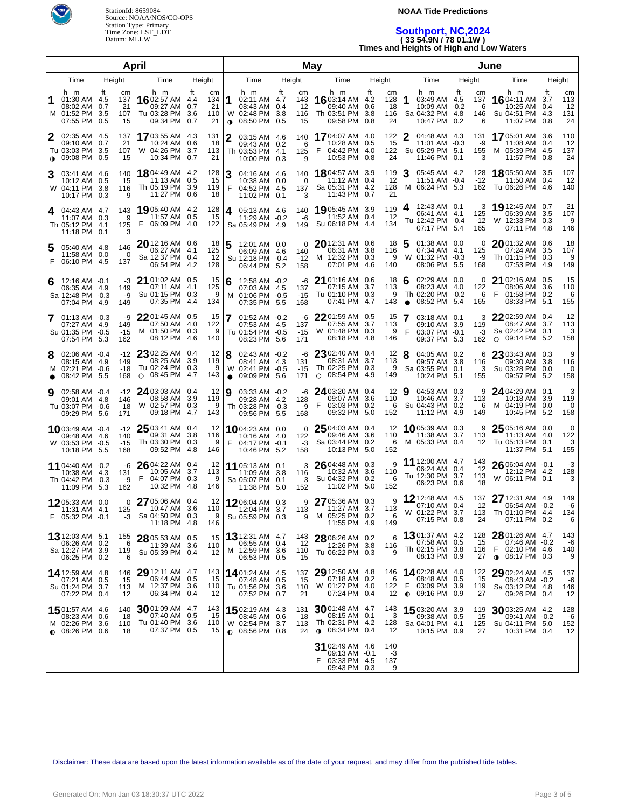

### **NOAA Tide Predictions**

# **Southport, NC,2024 ( 33 54.9N / 78 01.1W ) Times and Heights of High and Low Waters**

| April                                                                                                                     |                                                                                                                      | May                                                                                           |                                                          |                                                                               |                                                                | June                                                                               |                                                  |                                                                              |                                                  |
|---------------------------------------------------------------------------------------------------------------------------|----------------------------------------------------------------------------------------------------------------------|-----------------------------------------------------------------------------------------------|----------------------------------------------------------|-------------------------------------------------------------------------------|----------------------------------------------------------------|------------------------------------------------------------------------------------|--------------------------------------------------|------------------------------------------------------------------------------|--------------------------------------------------|
| Time<br>Height                                                                                                            | Time<br>Height                                                                                                       | Time                                                                                          | Height                                                   | Time                                                                          | Height                                                         | Time                                                                               | Height                                           | Time                                                                         | Height                                           |
| h m<br>ft<br>сm<br>01:30 AM 4.5<br>137<br>08:02 AM<br>0.7<br>21<br>M 01:52 PM<br>3.5<br>107<br>07:55 PM<br>0.5<br>15      | h m<br>ft<br>cm<br>1602:57 AM<br>134<br>4.4<br>09:27 AM<br>0.7<br>Tu 03:28 PM<br>110<br>3.6<br>09:34 PM<br>0.7<br>21 | h m<br>1<br>02:11 AM 4.7<br>21<br>08:43 AM<br>W 02:48 PM<br>08:50 PM<br>$\mathbf 0$           | ft<br>cm<br>143<br>0.4<br>12<br>-3.8<br>116<br>0.5<br>15 | h m<br>16 03:14 AM<br>09:40 AM<br>Th 03:51 PM<br>09:58 PM                     | ft<br>сm<br>4.2<br>128<br>0.6<br>18<br>3.8<br>116<br>24<br>0.8 | h m<br>1<br>03:49 AM 4.5<br>10:09 AM -0.2<br>Sa 04:32 PM<br>10:47 PM               | ft<br>cm<br>137<br>-6<br>-4.8<br>146<br>0.2<br>6 | h m<br>1604:11 AM<br>10:25 AM 0.4<br>Su 04:51 PM 4.3<br>11:07 PM             | ft<br>cm<br>113<br>3.7<br>12<br>131<br>24<br>0.8 |
| 02:35 AM 4.5<br>137<br>09:10 AM<br>0.7<br>21<br>3.5<br>107<br>Tu 03:03 PM<br>09:08 PM<br>0.5<br>15<br>$\bullet$           | 1703:55 AM 4.3<br>131<br>10:24 AM<br>0.6<br>18<br>W 04:26 PM 3.7<br>113<br>10:34 PM<br>0.7<br>21                     | 2<br>03:15 AM 4.6<br>09:43 AM 0.2<br>Th 03:53 PM 4.1<br>10:00 PM                              | 140<br>6<br>125<br>0.3<br>9                              | 1704:07 AM 4.0<br>10:28 AM 0.5<br>04:42 PM 4.0<br>10:53 PM                    | 122<br>15<br>122<br>24<br>0.8                                  | 04:48 AM 4.3<br>11:01 AM -0.3<br>Su 05:29 PM<br>11:46 PM                           | 131<br>-9<br>155<br>5.1<br>0.1<br>3              | 1705:01 AM 3.6<br>11:08 AM 0.4<br>05:39 PM 4.5<br>м<br>11:57 PM 0.8          | 110<br>12<br>137<br>24                           |
| 140<br>3<br>03:41 AM 4.6<br>0.5<br>15<br>10:12 AM<br>W 04:11 PM<br>-3.8<br>116<br>10:17 PM<br>0.3<br>9                    | 18 04:49 AM 4.2<br>128<br>11:13 AM<br>0.5<br>15<br>Th 05:19 PM 3.9<br>119<br>11:27 PM<br>0.6                         | 3<br>04:16 AM 4.6<br>10:38 AM 0.0<br>F<br>04:52 PM 4.5<br>18<br>11:02 PM                      | 140<br>$\Omega$<br>137<br>0.1<br>3                       | <b>18</b> 04:57 AM<br>11:12 AM 0.4<br>Sa 05:31 PM 4.2<br>11:43 PM             | 3.9<br>119<br>12<br>128<br>21<br>0.7                           | 05:45 AM 4.2<br>11:51 AM -0.4<br>M 06:24 PM 5.3                                    | 128<br>$-12$<br>162                              | 1805:50 AM 3.5<br>11:50 AM 0.4<br>Tu 06:26 PM 4.6                            | 107<br>12<br>140                                 |
| 4 04:43 AM 4.7<br>143<br>9<br>0.3<br>11:07 AM<br>Th 05:12 PM<br>125<br>4.1<br>11:18 PM<br>0.1                             | 19 05:40 AM 4.2<br>128<br>11:57 AM 0.5<br>15<br>F<br>06:09 PM 4.0<br>122                                             | 4<br>05:13 AM 4.6<br>11:29 AM -0.2<br>Sa 05:49 PM 4.9                                         | 140<br>-6<br>149                                         | 19 05:45 AM 3.9<br>11:52 AM 0.4<br>Su 06:18 PM 4.4                            | 119<br>-12<br>134                                              | 12:43 AM 0.1<br>4<br>06:41 AM 4.1<br>Tu 12:42 PM -0.4<br>07:17 PM 5.4              | 3<br>125<br>$-12$<br>165                         | 19 12:45 AM 0.7<br>06:39 AM 3.5<br>W 12:33 PM 0.3<br>07:11 PM 4.8            | 21<br>107<br>9<br>146                            |
| 5<br>05:40 AM 4.8<br>146<br>$\mathbf 0$<br>0.0<br>11:58 AM<br>F<br>137<br>06:10 PM<br>- 4.5                               | 20 12:16 AM 0.6<br>06:27 AM 4.1<br>125<br>Sa 12:37 PM 0.4<br>06:54 PM 4.2<br>128                                     | 18<br>5<br>12:01 AM 0.0<br>06:09 AM 4.6<br>12<br>Su 12:18 PM -0.4<br>06:44 PM 5.2             | $\Omega$<br>140<br>$-12$<br>158                          | $20$ 12:31 AM<br>06:31 AM 3.8<br>M 12:32 PM 0.3<br>07:01 PM                   | 18<br>0.6<br>116<br>9<br>-4.6<br>140                           | 5<br>01:38 AM 0.0<br>07:34 AM 4.1<br>01:32 PM -0.3<br>W<br>08:06 PM 5.5            | 0<br>125<br>-9<br>168                            | 2001:32 AM 0.6<br>07:24 AM 3.5<br>Th 01:15 PM 0.3<br>07:53 PM 4.9            | 18<br>107<br>9<br>149                            |
| 12:16 AM -0.1<br>-3<br>6<br>149<br>06:35 AM 4.9<br>Sa 12:48 PM -0.3<br>-9<br>07:04 PM 4.9<br>149                          | 21 01:02 AM 0.5<br>07:11 AM 4.1<br>125<br>Su 01:15 PM 0.3<br>07:35 PM 4.4<br>134                                     | 15<br>6<br>12:58 AM -0.2<br>07:03 AM 4.5<br>9<br>01:06 PM -0.5<br>M<br>07:35 PM 5.5           | -6<br>137<br>$-15$<br>168                                | 21 01:16 AM<br>07:15 AM<br>Tu 01:10 PM 0.3<br>07:41 PM 4.7                    | 18<br>0.6<br>3.7<br>113<br>9<br>143                            | 02:29 AM 0.0<br>6<br>08:23 AM 4.0<br>Th 02:20 PM -0.2<br>08:52 PM 5.4<br>$\bullet$ | 0<br>122<br>-6<br>165                            | 21 02:16 AM 0.5<br>08:06 AM 3.6<br>F<br>01:58 PM 0.2<br>08:33 PM 5.1         | 15<br>110<br>6<br>155                            |
| $01:13$ AM $-0.3$<br>-9<br>7<br>149<br>-4.9<br>07:27 AM<br>Su 01:35 PM -0.5<br>$-15$<br>07:54 PM 5.3<br>162               | 2201:45 AM<br>0.5<br>07:50 AM 4.0<br>122<br>M 01:50 PM 0.3<br>08:12 PM 4.6<br>140                                    | 15<br>7<br>01:52 AM -0.2<br>07:53 AM 4.5<br>9<br>Tu 01:54 PM -0.5<br>08:23 PM 5.6             | -6<br>137<br>$-15$<br>171                                | 2201:59 AM<br>07:55 AM<br>W 01:48 PM 0.3<br>08:18 PM 4.8                      | 0.5<br>15<br>3.7<br>113<br>9<br>146                            | 03:18 AM 0.1<br>09:10 AM<br>F<br>03:07 PM -0.1<br>09:37 PM 5.3                     | 3<br>-3.9<br>119<br>-3<br>162                    | 22 02:59 AM 0.4<br>08:47 AM 3.7<br>Sa 02:42 PM 0.1<br>$O$ 09:14 PM 5.2       | 12<br>113<br>3<br>158                            |
| 02:06 AM -0.4<br>$-12$<br>8<br>149<br>-4.9<br>08:15 AM<br>M 02:21 PM -0.6<br>-18<br>08:42 PM<br>- 5.5<br>168<br>$\bullet$ | 23 02:25 AM<br>0.4<br>08:25 AM<br>3.9<br>119<br>Tu 02:24 PM 0.3<br>$O$ 08:45 PM 4.7<br>143                           | 12<br>8<br>02:43 AM -0.2<br>08:41 AM 4.3<br>9<br>W 02:41 PM -0.5<br>09:09 PM 5.6<br>$\bullet$ | -6<br>131<br>$-15$<br>171                                | 23 02:40 AM<br>08:31 AM<br>Th 02:25 PM 0.3<br>$\circ$ 08:54 PM 4.9            | 12<br>0.4<br>3.7<br>113<br>9<br>149                            | 8<br>04:05 AM 0.2<br>09:57 AM<br>Sa 03:55 PM<br>10:24 PM 5.1                       | 6<br>3.8<br>116<br>0.1<br>3<br>155               | 23 03:43 AM 0.3<br>09:30 AM 3.8<br>Su 03:28 PM 0.0<br>09:57 PM 5.2           | 9<br>116<br>0<br>158                             |
| 9<br>02:58 AM -0.4<br>$-12$<br>146<br>09:01 AM 4.8<br>Tu 03:07 PM -0.6<br>$-18$<br>09:29 PM 5.6<br>171                    | 24 03:03 AM 0.4<br>08:58 AM 3.9<br>119<br>W 02:57 PM 0.3<br>09:18 PM 4.7<br>143                                      | 12<br>Ι9<br>03:33 AM -0.2<br>09:28 AM 4.2<br>9<br>Th 03:28 PM -0.3<br>09:56 PM 5.5            | -6<br>128<br>-9<br>168                                   | <b>24</b> 03:20 AM 0.4<br>09:07 AM 3.6<br>F<br>03:03 PM<br>09:32 PM 5.0       | 12<br>110<br>0.2<br>6<br>152                                   | 04:53 AM 0.3<br>9<br>10:46 AM<br>Su 04:43 PM<br>11:12 PM 4.9                       | 9<br>3.7<br>113<br>0.2<br>6<br>149               | 24 04:29 AM 0.1<br>10:18 AM 3.9<br>04:19 PM 0.0<br>м<br>10:45 PM 5.2         | 3<br>119<br>0<br>158                             |
| $-12$<br>1003:49 AM -0.4<br>-4.6<br>140<br>09:48 AM<br>W 03:53 PM -0.5<br>$-15$<br>10:18 PM 5.5<br>168                    | $2503:41$ AM 0.4<br>09:31 AM 3.8<br>116<br>Th 03:30 PM 0.3<br>09:52 PM 4.8<br>146                                    | 12<br>1004:23 AM 0.0<br>10:16 AM 4.0<br>- 9<br>F<br>04:17 PM -0.1<br>10:46 PM 5.2             | $\Omega$<br>122<br>-3<br>158                             | 25 04:03 AM 0.4<br>09:46 AM<br>Sa 03:44 PM<br>10:13 PM 5.0                    | 12<br>3.6<br>110<br>0.2<br>6<br>152                            | 1005:39 AM 0.3<br>11:38 AM<br>M 05:33 PM 0.4                                       | 9<br>3.7<br>113<br>12                            | $2505:16$ AM 0.0<br>11:13 AM 4.0<br>Tu 05:13 PM 0.1<br>11:37 PM 5.1          | 0<br>122<br>3<br>155                             |
| 11 04:40 AM -0.2<br>-6<br>131<br>10:38 AM<br>-4.3<br>Th 04:42 PM -0.3<br>-9<br>162<br>11:09 PM 5.3                        | 26 04:22 AM 0.4<br>3.7<br>113<br>10:05 AM<br>F<br>04:07 PM 0.3<br>10:32 PM 4.8<br>146                                | 12<br>11 05:13 AM 0.1<br>11:09 AM 3.8<br>- 9<br>Sa 05:07 PM 0.1<br>11:38 PM 5.0               | 3<br>116<br>3<br>152                                     | 26 04:48 AM 0.3<br>10:32 AM<br>Su 04:32 PM<br>11:02 PM 5.0                    | 9<br>3.6<br>110<br>0.2<br>6<br>152                             | 11 12:00 AM 4.7<br>06:24 AM 0.4<br>Tu 12:30 PM<br>06:23 PM                         | 143<br>12<br>3.7<br>113<br>0.6<br>18             | 26 06:04 AM -0.1<br>12:12 PM 4.2<br>W 06:11 PM 0.1                           | $-3$<br>128<br>3                                 |
| $\mathbf 0$<br>1205:33 AM 0.0<br>125<br>$11:31$ AM $4.1$<br>F 05:32 PM -0.1<br>-3                                         | 27 05:06 AM 0.4<br>10:47 AM 3.6<br>110<br>Sa 04:50 PM 0.3<br>11:18 PM 4.8<br>146                                     | 12<br>1206:04 AM 0.3<br>12:04 PM 3.7<br>9<br>Su 05:59 PM 0.3                                  | 9<br>113<br>9                                            | 27 05:36 AM 0.3<br>11:27 AM<br>M 05:25 PM 0.2<br>11:55 PM 4.9                 | 9<br>3.7<br>113<br>6<br>149                                    | <b>12</b> 12:48 AM 4.5<br>07:10 AM 0.4<br>W 01:22 PM 3.7<br>07:15 PM 0.8           | 137<br>12<br>24                                  | 27 12:31 AM 4.9<br>06:54 AM -0.2<br>113   Th 01:10 PM 4.4<br>07:11 PM 0.2    | 149<br>-6<br>134<br>6                            |
| 13 12:03 AM 5.1<br>155<br>06:26 AM 0.2<br>6<br>Sa 12:27 PM 3.9<br>119<br>06:25 PM 0.2<br>6                                | 28 05:53 AM 0.5<br>110<br>11:39 AM 3.6<br>Su 05:39 PM 0.4                                                            | <b>13</b> 12:31 AM 4.7<br>15<br>06:55 AM 0.4<br>M 12:59 PM 3.6<br>12<br>06:53 PM 0.5          | 143<br>12<br>110<br>15                                   | 28 06:26 AM 0.2<br>12:26 PM 3.8<br>Tu 06:22 PM 0.3                            | 6<br>116<br>9                                                  | 1301:37 AM 4.2<br>07:58 AM 0.5<br>Th 02:15 PM<br>08:13 PM 0.9                      | 128<br>15<br>3.8<br>116<br>27                    | $2801:26$ AM 4.7<br>07:46 AM -0.2<br>F 02:10 PM 4.6<br><b>0</b> 08:17 PM 0.3 | 143<br>-6<br>140<br>9                            |
| <b>14</b> 12:59 AM 4.8<br>146<br>07:21 AM<br>0.5<br>15<br>Su 01:24 PM 3.7<br>113<br>07:22 PM 0.4<br>12                    | 29 12:11 AM 4.7<br>143<br>06:44 AM 0.5<br>M 12:37 PM 3.6<br>110<br>06:34 PM 0.4                                      | 14 01:24 AM 4.5<br>15<br>07:48 AM 0.5<br>Tu 01:56 PM 3.6<br>12<br>07:52 PM 0.7                | 137<br>15<br>110<br>21                                   | 29 12:50 AM 4.8<br>07:18 AM 0.2<br>W 01:27 PM 4.0<br>07:24 PM 0.4             | 146<br>6<br>122<br>12                                          | 1402:28 AM 4.0<br>08:48 AM<br>F.<br>03:09 PM<br>$Q$ 09:16 PM 0.9                   | 122<br>0.5<br>15<br>3.9<br>119<br>27             | 29 02:24 AM 4.5<br>08:43 AM -0.2<br>Sa 03:12 PM 4.8<br>09:26 PM 0.4          | 137<br>-6<br>146<br>12                           |
| 1501:57 AM 4.6<br>140<br>08:23 AM<br>0.6<br>18<br>M 02:26 PM 3.6<br>110<br>$\bullet$ 08:26 PM 0.6<br>18                   | $3001:09$ AM 4.7<br>143<br>07:40 AM 0.5<br>Tu 01:40 PM 3.6<br>110<br>07:37 PM 0.5<br>15                              | 1502:19 AM 4.3<br>15<br>08:45 AM 0.6<br>W 02:54 PM 3.7<br>$\bullet$ 08:56 PM 0.8              | 131<br>18<br>113<br>24                                   | $3001:48$ AM 4.7<br>08:15 AM 0.1<br>Th 02:31 PM 4.2<br>$\bullet$ 08:34 PM 0.4 | 143<br>3<br>128<br>12                                          | 15 03:20 AM 3.9<br>09:38 AM 0.5<br>Sa 04:01 PM 4.1<br>10:15 PM 0.9                 | 119<br>15<br>125<br>27                           | <b>30</b> 03:25 AM 4.2<br>09:41 AM -0.2<br>Su 04:11 PM 5.0<br>10:31 PM 0.4   | 128<br>-6<br>152<br>12                           |
|                                                                                                                           |                                                                                                                      |                                                                                               |                                                          | 31 02:49 AM 4.6<br>$09:13$ AM $-0.1$<br>F<br>03:33 PM 4.5<br>09:43 PM 0.3     | 140<br>-3<br>137<br>9                                          |                                                                                    |                                                  |                                                                              |                                                  |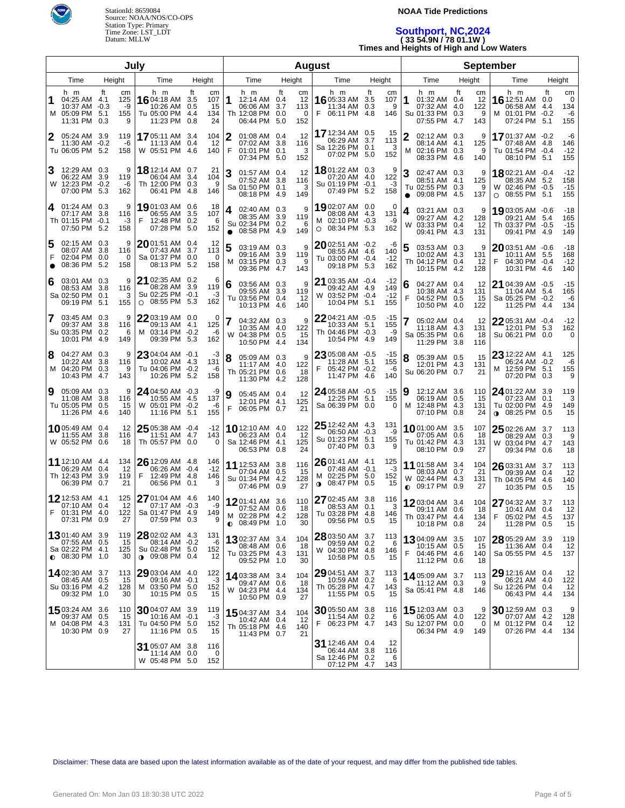

### **NOAA Tide Predictions**

## **Southport, NC,2024 ( 33 54.9N / 78 01.1W ) Times and Heights of High and Low Waters**

| July                             |                                                                             |                                          |                                                                                 | <b>August</b>                                           |                                                                                   |                                                 |                                                                              | <b>September</b>                                 |                                                                                   |                                          |                                                                               |                                          |
|----------------------------------|-----------------------------------------------------------------------------|------------------------------------------|---------------------------------------------------------------------------------|---------------------------------------------------------|-----------------------------------------------------------------------------------|-------------------------------------------------|------------------------------------------------------------------------------|--------------------------------------------------|-----------------------------------------------------------------------------------|------------------------------------------|-------------------------------------------------------------------------------|------------------------------------------|
| Time<br>Height<br>Time<br>Height |                                                                             |                                          | Time                                                                            | Height                                                  | Time                                                                              | Height                                          | Time                                                                         | Height                                           | Time                                                                              | Height                                   |                                                                               |                                          |
| 1                                | h m<br>04:25 AM 4.1<br>10:37 AM -0.3<br>M 05:09 PM 5.1<br>11:31 PM          | ft<br>cm<br>125<br>-9<br>155<br>0.3<br>9 | h m<br>16 04:18 AM<br>10:26 AM<br>Tu 05:00 PM 4.4<br>11:23 PM                   | ft<br>cm<br>107<br>3.5<br>0.5<br>15<br>134<br>24<br>0.8 | h m<br>12:14 AM 0.4<br>06:06 AM<br>Th 12:08 PM 0.0<br>06:44 PM                    | ft<br>cm<br>12<br>3.7<br>113<br>0<br>152<br>5.0 | h m<br>16 05:33 AM<br>11:34 AM<br>F<br>06:11 PM                              | ft<br>cm<br>3.5<br>107<br>0.3<br>9<br>4.8<br>146 | h m<br>01:32 AM 0.4<br>07:32 AM 4.0<br>Su 01:33 PM 0.3<br>07:55 PM                | ft<br>cm<br>12<br>122<br>9<br>4.7<br>143 | h m<br><b>16</b> 12:51 AM<br>06:58 AM 4.4<br>M 01:01 PM -0.2<br>07:24 PM 5.1  | ft<br>cm<br>0.0<br>0<br>134<br>-6<br>155 |
|                                  | 05:24 AM 3.9<br>11:30 AM -0.2<br>Tu 06:05 PM 5.2                            | 119<br>-6<br>158                         | 1705:11 AM 3.4<br>11:13 AM 0.4<br>W 05:51 PM 4.6                                | 104<br>12<br>140                                        | 2<br>01:08 AM 0.4<br>07:02 AM 3.8<br>F<br>01:01 PM 0.1<br>07:34 PM 5.0            | 12<br>116<br>3<br>152                           | <b>17</b> 12:34 AM<br>06:29 AM<br>Sa 12:26 PM 0.1<br>07:02 PM 5.0            | 0.5<br>15<br>3.7<br>113<br>3<br>152              | 2<br>02:12 AM 0.3<br>08:14 AM 4.1<br>M<br>02:16 PM 0.3<br>08:33 PM 4.6            | 9<br>125<br>9<br>140                     | 1701:37 AM -0.2<br>07:48 AM 4.8<br>Tu 01:54 PM -0.4<br>08:10 PM 5.1           | -6<br>146<br>$-12$<br>155                |
| 3                                | 12:29 AM 0.3<br>06:22 AM 3.9<br>W 12:23 PM -0.2<br>07:00 PM 5.3             | 9<br>119<br>-6<br>162                    | <b>18</b> 12:14 AM<br>06:04 AM 3.4<br>Th 12:00 PM 0.3<br>06:41 PM 4.8           | 21<br>0.7<br>104<br>9<br>146                            | 3<br>01:57 AM 0.4<br>07:52 AM 3.8<br>Sa 01:50 PM 0.1<br>08:18 PM 4.9              | 12<br>116<br>3<br>149                           | 1801:22 AM 0.3<br>07:20 AM 4.0<br>Su 01:19 PM -0.1<br>07:49 PM 5.2           | 9<br>122<br>-3<br>158                            | 3<br>02:47 AM 0.3<br>08:51 AM 4.1<br>Tu 02:55 PM 0.3<br>09:08 PM 4.5<br>$\bullet$ | 9<br>125<br>9<br>137                     | 1802:21 AM -0.4<br>08:35 AM 5.2<br>W 02:46 PM -0.5<br>08:55 PM 5.1<br>$\circ$ | $-12$<br>158<br>$-15$<br>155             |
| 4                                | 01:24 AM 0.3<br>07:17 AM 3.8<br>Th 01:15 PM -0.1<br>07:50 PM 5.2            | 9<br>116<br>-3<br>158                    | <b>19</b> 01:03 AM<br>06:55 AM<br>12:48 PM 0.2<br>07:28 PM 5.0                  | 18<br>0.6<br>3.5<br>107<br>6<br>152                     | 02:40 AM 0.3<br>4<br>08:35 AM 3.9<br>Su 02:34 PM 0.2<br>08:58 PM 4.9<br>$\bullet$ | 9<br>119<br>6<br>149                            | 1902:07 AM 0.0<br>08:08 AM 4.3<br>M 02:10 PM -0.3<br>08:34 PM 5.3<br>$\circ$ | 0<br>131<br>-9<br>162                            | 03:21 AM 0.3<br>4<br>09:27 AM 4.2<br>03:33 PM<br>W<br>09:41 PM                    | 9<br>128<br>0.4<br>12<br>-4.3<br>131     | 1903:05 AM -0.6<br>09:21 AM 5.4<br>Th 03:37 PM -0.5<br>09:41 PM 4.9           | -18<br>165<br>$-15$<br>149               |
| 5                                | 02:15 AM 0.3<br>08:07 AM 3.8<br>02:04 PM 0.0<br>08:36 PM 5.2                | 9<br>116<br>0<br>158                     | $20$ 01:51 AM<br>07:43 AM 3.7<br>Sa 01:37 PM 0.0<br>08:13 PM 5.2                | 12<br>0.4<br>113<br>0<br>158                            | 5<br>03:19 AM 0.3<br>09:16 AM 3.9<br>03:15 PM 0.3<br>м<br>09:36 PM 4.7            | 9<br>119<br>9<br>143                            | $2002:51$ AM $-0.2$<br>08:55 AM<br>Tu 03:00 PM -0.4<br>09:18 PM 5.3          | -6<br>-4.6<br>140<br>$-12$<br>162                | 03:53 AM 0.3<br>5<br>10:02 AM 4.3<br>Th 04:12 PM 0.4<br>10:15 PM                  | 9<br>131<br>12<br>-4.2<br>128            | 2003:51 AM -0.6<br>10:11 AM 5.5<br>04:30 PM -0.4<br>F<br>10:31 PM 4.6         | -18<br>168<br>$-12$<br>140               |
| 6                                | 03:01 AM 0.3<br>08:53 AM 3.8<br>Sa 02:50 PM<br>09:19 PM 5.1                 | 9<br>116<br>0.1<br>3<br>155              | 21 02:35 AM 0.2<br>08:28 AM 3.9<br>Su 02:25 PM -0.1<br>$O$ 08:55 PM 5.3         | 6<br>119<br>-3<br>162                                   | 03:56 AM 0.3<br>6<br>09:55 AM 3.9<br>Tu 03:56 PM 0.4<br>10:13 PM 4.6              | 9<br>119<br>12<br>140                           | 21 03:35 AM -0.4<br>09:42 AM<br>W 03:52 PM -0.4<br>10:04 PM 5.1              | $-12$<br>4.9<br>149<br>$-12$<br>155              | 04:27 AM 0.4<br>6<br>10:38 AM 4.3<br>F<br>04:52 PM 0.5<br>10:50 PM 4.0            | 12<br>131<br>15<br>122                   | 21 04:39 AM -0.5<br>11:04 AM 5.4<br>Sa 05:25 PM -0.2<br>11:25 PM 4.4          | $-15$<br>165<br>-6<br>134                |
|                                  | 7 03:45 AM 0.3<br>09:37 AM<br>Su 03:35 PM<br>10:01 PM 4.9                   | 9<br>3.8<br>116<br>0.2<br>6<br>149       | 22 03:19 AM 0.0<br>09:13 AM  4.1<br>M 03:14 PM -0.2<br>09:39 PM 5.3             | 0<br>125<br>-6<br>162                                   | 04:32 AM 0.3<br>10:35 AM 4.0<br>04:38 PM 0.5<br>W<br>10:50 PM 4.4                 | 9<br>122<br>15<br>134                           | $2204:21$ AM $-0.5$<br>10:33 AM<br>Th 04:46 PM -0.3<br>10:54 PM 4.9          | $-15$<br>155<br>5.1<br>-9<br>149                 | 7<br>05:02 AM 0.4<br>11:18 AM 4.3<br>Sa 05:35 PM 0.6<br>11:29 PM                  | 12<br>131<br>18<br>3.8<br>116            | 2205:31 AM -0.4<br>12:01 PM 5.3<br>Su 06:21 PM 0.0                            | $-12$<br>162<br>0                        |
| 8                                | 04:27 AM 0.3<br>10:22 AM<br>M 04:20 PM 0.3<br>10:43 PM 4.7                  | 9<br>3.8<br>116<br>9<br>143              | 23 04:04 AM -0.1<br>10:02 AM 4.3<br>Tu 04:06 PM -0.2<br>10:26 PM 5.2            | -3<br>131<br>-6<br>158                                  | 8<br>05:09 AM 0.3<br>11:17 AM 4.0<br>Th 05:21 PM 0.6<br>11:30 PM 4.2              | 9<br>122<br>18<br>128                           | 2305:08 AM -0.5<br>11:28 AM<br>F<br>05:42 PM -0.2<br>11:47 PM 4.6            | $-15$<br>155<br>5.1<br>-6<br>140                 | 8<br>05:39 AM 0.5<br>12:01 PM 4.3<br>Su 06:20 PM 0.7                              | 15<br>131<br>21                          | 23 12:22 AM 4.1<br>06:24 AM -0.2<br>M 12:59 PM 5.1<br>07:20 PM 0.3            | 125<br>-6<br>155<br>9                    |
| 9                                | 05:09 AM 0.3<br>11:08 AM<br>Tu 05:05 PM<br>11:26 PM 4.6                     | 9<br>3.8<br>116<br>0.5<br>15<br>140      | 24 04:50 AM -0.3<br>10:55 AM 4.5<br>W 05:01 PM -0.2<br>11:16 PM 5.1             | -9<br>137<br>-6<br>155                                  | 9<br>05:45 AM 0.4<br>12:01 PM 4.1<br>F<br>06:05 PM 0.7                            | 12<br>125<br>21                                 | 24 05:58 AM -0.5<br>12:25 PM<br>Sa 06:39 PM 0.0                              | $-15$<br>5.1<br>155<br>0                         | 9<br>12:12 AM 3.6<br>06:19 AM 0.5<br>12:48 PM 4.3<br>м<br>07:10 PM 0.8            | 110<br>15<br>131<br>24                   | 24 01:22 AM 3.9<br>07:23 AM 0.1<br>Tu 02:00 PM 4.9<br>$0.08:25$ PM 0.5        | 119<br>3<br>149<br>15                    |
|                                  | 1005:49 AM 0.4<br>11:55 AM<br>W 05:52 PM 0.6                                | 12<br>3.8<br>116<br>18                   | $2505:38$ AM $-0.4$<br>11:51 AM 4.7<br>Th 05:57 PM 0.0                          | $-12$<br>143<br>0                                       | <b>10</b> 12:10 AM 4.0<br>06:23 AM 0.4<br>Sa 12:46 PM 4.1<br>06:53 PM 0.8         | 122<br>12<br>125<br>24                          | $2512:42$ AM $4.3$<br>06:50 AM -0.3<br>Su 01:23 PM 5.1<br>07:40 PM 0.3       | 131<br>-9<br>155<br>9                            | 1001:00 AM 3.5<br>07:05 AM 0.6<br>Tu 01:42 PM 4.3<br>08:10 PM 0.9                 | 107<br>18<br>131<br>27                   | 25 02:26 AM 3.7<br>08:29 AM 0.3<br>W 03:04 PM 4.7<br>09:34 PM 0.6             | 113<br>9<br>143<br>18                    |
|                                  | <b>11</b> 12:10 AM 4.4<br>06:29 AM 0.4<br>Th 12:43 PM<br>06:39 PM           | 134<br>12<br>3.9<br>119<br>0.7<br>21     | $2612:09$ AM $4.8$<br>06:26 AM -0.4<br>F<br>12:49 PM 4.8<br>06:56 PM 0.1        | 146<br>$-12$<br>146<br>3                                | 11 12:53 AM 3.8<br>07:04 AM 0.5<br>Su 01:34 PM 4.2<br>07:46 PM 0.9                | 116<br>15<br>128<br>27                          | $2601:41$ AM 4.1<br>07:48 AM -0.1<br>02:25 PM<br>м<br>08:47 PM<br>$\bullet$  | 125<br>-3<br>5.0<br>152<br>0.5<br>15             | 11 01:58 AM 3.4<br>08:03 AM 0.7<br>W 02:44 PM 4.3<br>$\bullet$ 09:17 PM 0.9       | 104<br>21<br>131<br>27                   | 26 03:31 AM 3.7<br>09:39 AM 0.4<br>Th 04:05 PM 4.6<br>10:35 PM 0.5            | 113<br>12<br>140<br>15                   |
|                                  | 12 12:53 AM 4.1<br>07:10 AM 0.4<br>01:31 PM 4.0<br>07:31 PM 0.9             | 125<br>12<br>122<br>27                   | 27 01:04 AM 4.6<br>07:17 AM -0.3<br>Sa 01:47 PM 4.9<br>07:59 PM 0.3             | 140<br>-9<br>149<br>9                                   | 1201:41 AM 3.6<br>07:52 AM 0.6<br>M 02:28 PM 4.2<br>$\bullet$ 08:49 PM 1.0        | 110<br>18<br>128<br>30                          | 27 02:45 AM 3.8<br>08:53 AM 0.1<br>Tu 03:28 PM 4.8<br>09:56 PM 0.5           | 116<br>3<br>146<br>15                            | 1203:04 AM 3.4<br>09:11 AM 0.6<br>Th 03:47 PM 4.4<br>10:18 PM 0.8                 | 104<br>18<br>134<br>24                   | 27 04:32 AM 3.7<br>10:41 AM 0.4<br>05:02 PM 4.5<br>F<br>11:28 PM 0.5          | 113<br>12<br>137<br>15                   |
|                                  | 1301:40 AM 3.9<br>07:55 AM 0.5<br>Sa 02:22 PM 4.1<br>$\bullet$ 08:30 PM 1.0 | 119<br>15<br>125<br>30                   | 28 02:02 AM 4.3<br>08:14 AM -0.2<br>Su 02:48 PM 5.0<br>$0.09:08 \text{ PM}$ 0.4 | 131<br>-6<br>152<br>12                                  | 1302:37 AM 3.4<br>08:48 AM 0.6<br>Tu 03:25 PM 4.3<br>09:52 PM 1.0                 | 104<br>18<br>131<br>30                          | 28 03:50 AM 3.7<br>09:59 AM 0.2<br>W 04:30 PM 4.8<br>10:58 PM 0.5            | 113<br>6<br>146<br>15                            | 1304:09 AM 3.5<br>10:15 AM 0.5<br>F<br>04:46 PM 4.6<br>11:12 PM 0.6               | 107<br>15<br>140<br>18                   | 28 05:29 AM 3.9<br>11:36 AM 0.4<br>Sa 05:55 PM 4.5                            | 119<br>12<br>137                         |
|                                  | <b>14</b> 02:30 AM 3.7<br>08:45 AM 0.5<br>Su 03:16 PM 4.2<br>09:32 PM 1.0   | 113<br>15<br>128<br>30                   | 29 03:04 AM 4.0<br>09:16 AM -0.1<br>M 03:50 PM 5.0<br>10:15 PM 0.5              | 122<br>-3<br>152<br>15                                  | 14 03:38 AM 3.4<br>09:47 AM 0.6<br>W 04:23 PM 4.4<br>10:50 PM 0.9                 | 104<br>18<br>134<br>27                          | 29 04:51 AM 3.7<br>10:59 AM 0.2<br>Th 05:28 PM 4.7<br>11:55 PM 0.5           | 113<br>6<br>143<br>15                            | 14 05:09 AM 3.7<br>11:12 AM 0.3<br>Sa 05:41 PM 4.8                                | 113<br>9<br>146                          | 29 12:16 AM 0.4<br>06:21 AM 4.0<br>Su 12:26 PM 0.4<br>06:43 PM 4.4            | 12<br>122<br>12<br>134                   |
|                                  | <b>15</b> 03:24 AM 3.6<br>09:37 AM 0.5<br>M 04:08 PM 4.3<br>10:30 PM 0.9    | 110<br>15<br>131<br>27                   | $3004:07$ AM 3.9<br>10:16 AM -0.1<br>Tu 04:50 PM 5.0<br>11:16 PM 0.5            | 119<br>-3<br>152<br>15                                  | 1504:37 AM 3.4<br>10:42 AM 0.4<br>Th 05:18 PM 4.6<br>11:43 PM 0.7                 | 104<br>12<br>140<br>21                          | $30$ 05:50 AM 3.8<br>11:54 AM 0.2<br>06:23 PM 4.7                            | 116<br>6<br>143                                  | 15 12:03 AM 0.3<br>06:05 AM 4.0<br>Su 12:07 PM 0.0<br>06:34 PM 4.9                | 9<br>122<br>0<br>149                     | 30 12:59 AM 0.3<br>07:07 AM 4.2<br>M 01:12 PM 0.4<br>07:26 PM 4.4             | 9<br>128<br>12<br>134                    |
|                                  |                                                                             |                                          | 31 05:07 AM 3.8<br>11:14 AM 0.0<br>W 05:48 PM 5.0                               | 116<br>0<br>152                                         |                                                                                   |                                                 | 31 12:46 AM 0.4<br>06:44 AM 3.8<br>Sa 12:46 PM 0.2<br>07:12 PM 4.7           | 12<br>116<br>6<br>143                            |                                                                                   |                                          |                                                                               |                                          |